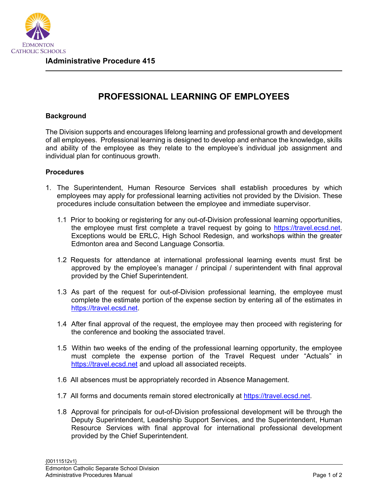

## **PROFESSIONAL LEARNING OF EMPLOYEES**

## **Background**

The Division supports and encourages lifelong learning and professional growth and development of all employees. Professional learning is designed to develop and enhance the knowledge, skills and ability of the employee as they relate to the employee's individual job assignment and individual plan for continuous growth.

## **Procedures**

- 1. The Superintendent, Human Resource Services shall establish procedures by which employees may apply for professional learning activities not provided by the Division. These procedures include consultation between the employee and immediate supervisor.
	- 1.1 Prior to booking or registering for any out-of-Division professional learning opportunities, the employee must first complete a travel request by going to [https://travel.ecsd.net.](https://travel.ecsd.net/) Exceptions would be ERLC, High School Redesign, and workshops within the greater Edmonton area and Second Language Consortia.
	- 1.2 Requests for attendance at international professional learning events must first be approved by the employee's manager / principal / superintendent with final approval provided by the Chief Superintendent.
	- 1.3 As part of the request for out-of-Division professional learning, the employee must complete the estimate portion of the expense section by entering all of the estimates in [https://travel.ecsd.net.](https://travel.ecsd.net/)
	- 1.4 After final approval of the request, the employee may then proceed with registering for the conference and booking the associated travel.
	- 1.5 Within two weeks of the ending of the professional learning opportunity, the employee must complete the expense portion of the Travel Request under "Actuals" in [https://travel.ecsd.net](https://travel.ecsd.net/) and upload all associated receipts.
	- 1.6 All absences must be appropriately recorded in Absence Management.
	- 1.7 All forms and documents remain stored electronically at [https://travel.ecsd.net.](https://travel.ecsd.net/)
	- 1.8 Approval for principals for out-of-Division professional development will be through the Deputy Superintendent, Leadership Support Services, and the Superintendent, Human Resource Services with final approval for international professional development provided by the Chief Superintendent.